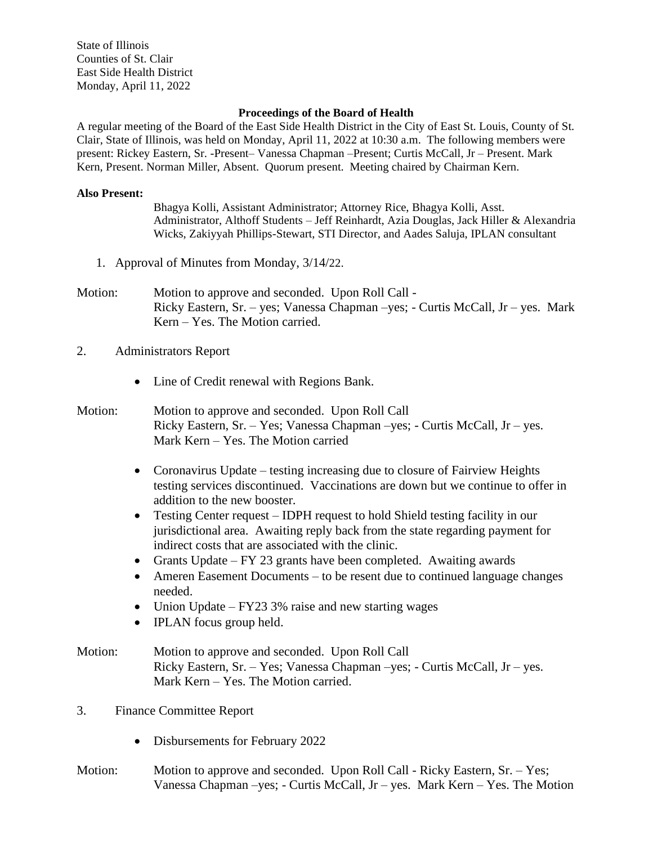State of Illinois Counties of St. Clair East Side Health District Monday, April 11, 2022

## **Proceedings of the Board of Health**

A regular meeting of the Board of the East Side Health District in the City of East St. Louis, County of St. Clair, State of Illinois, was held on Monday, April 11, 2022 at 10:30 a.m. The following members were present: Rickey Eastern, Sr. -Present– Vanessa Chapman –Present; Curtis McCall, Jr – Present. Mark Kern, Present. Norman Miller, Absent. Quorum present. Meeting chaired by Chairman Kern.

## **Also Present:**

Bhagya Kolli, Assistant Administrator; Attorney Rice, Bhagya Kolli, Asst. Administrator, Althoff Students – Jeff Reinhardt, Azia Douglas, Jack Hiller & Alexandria Wicks, Zakiyyah Phillips-Stewart, STI Director, and Aades Saluja, IPLAN consultant

- 1. Approval of Minutes from Monday, 3/14/22.
- Motion: Motion to approve and seconded. Upon Roll Call -Ricky Eastern, Sr. – yes; Vanessa Chapman –yes; - Curtis McCall, Jr – yes. Mark Kern – Yes. The Motion carried.
- 2. Administrators Report
	- Line of Credit renewal with Regions Bank.
- Motion: Motion to approve and seconded. Upon Roll Call Ricky Eastern, Sr. – Yes; Vanessa Chapman –yes; - Curtis McCall, Jr – yes. Mark Kern – Yes. The Motion carried
	- Coronavirus Update testing increasing due to closure of Fairview Heights testing services discontinued. Vaccinations are down but we continue to offer in addition to the new booster.
	- Testing Center request IDPH request to hold Shield testing facility in our jurisdictional area. Awaiting reply back from the state regarding payment for indirect costs that are associated with the clinic.
	- Grants Update FY 23 grants have been completed. Awaiting awards
	- Ameren Easement Documents to be resent due to continued language changes needed.
	- Union Update FY23 3% raise and new starting wages
	- **IPLAN** focus group held.
- Motion: Motion to approve and seconded. Upon Roll Call Ricky Eastern, Sr. – Yes; Vanessa Chapman –yes; - Curtis McCall, Jr – yes. Mark Kern – Yes. The Motion carried.
- 3. Finance Committee Report
	- Disbursements for February 2022
- Motion: Motion to approve and seconded. Upon Roll Call Ricky Eastern, Sr. Yes; Vanessa Chapman –yes;  $-$  Curtis McCall, Jr – yes. Mark Kern – Yes. The Motion